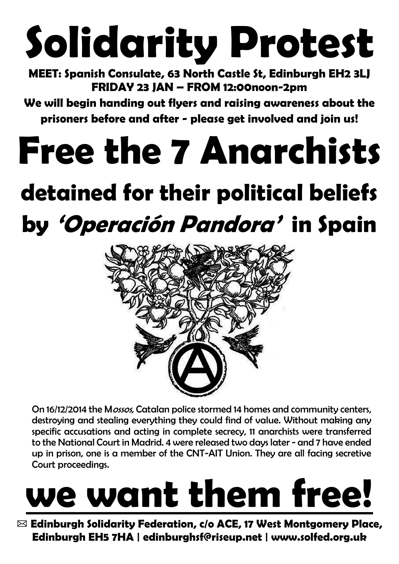# **Solidarity Protest**

**MEET: Spanish Consulate, 63 North Castle St, Edinburgh EH2 3LJ FRIDAY 23 JAN – FROM 12:00noon-2pm** 

**We will begin handing out flyers and raising awareness about the prisoners before and after - please get involved and join us!** 

### **Free the 7 Anarchists**

#### **detained for their political beliefs by 'Operación Pandora' in Spain**



On 16/12/2014 the Mossos, Catalan police stormed 14 homes and community centers, destroying and stealing everything they could find of value. Without making any specific accusations and acting in complete secrecy, 11 anarchists were transferred to the National Court in Madrid. 4 were released two days later - and 7 have ended up in prison, one is a member of the CNT-AIT Union. They are all facing secretive Court proceedings.

# **we want them free!**

✉ **Edinburgh Solidarity Federation, c/o ACE, 17 West Montgomery Place, Edinburgh EH5 7HA | edinburghsf@riseup.net | www.solfed.org.uk**